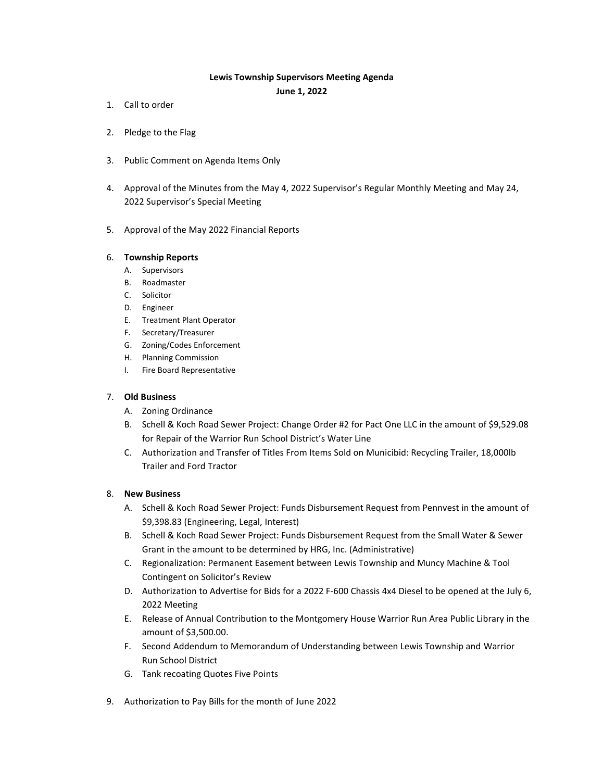## **Lewis Township Supervisors Meeting Agenda**

**June 1, 2022**

- 1. Call to order
- 2. Pledge to the Flag
- 3. Public Comment on Agenda Items Only
- 4. Approval of the Minutes from the May 4, 2022 Supervisor's Regular Monthly Meeting and May 24, 2022 Supervisor's Special Meeting
- 5. Approval of the May 2022 Financial Reports

## 6. **Township Reports**

- A. Supervisors
- B. Roadmaster
- C. Solicitor
- D. Engineer
- E. Treatment Plant Operator
- F. Secretary/Treasurer
- G. Zoning/Codes Enforcement
- H. Planning Commission
- I. Fire Board Representative

## 7. **Old Business**

- A. Zoning Ordinance
- B. Schell & Koch Road Sewer Project: Change Order #2 for Pact One LLC in the amount of \$9,529.08 for Repair of the Warrior Run School District's Water Line
- C. Authorization and Transfer of Titles From Items Sold on Municibid: Recycling Trailer, 18,000lb Trailer and Ford Tractor

## 8. **New Business**

- A. Schell & Koch Road Sewer Project: Funds Disbursement Request from Pennvest in the amount of \$9,398.83 (Engineering, Legal, Interest)
- B. Schell & Koch Road Sewer Project: Funds Disbursement Request from the Small Water & Sewer Grant in the amount to be determined by HRG, Inc. (Administrative)
- C. Regionalization: Permanent Easement between Lewis Township and Muncy Machine & Tool Contingent on Solicitor's Review
- D. Authorization to Advertise for Bids for a 2022 F-600 Chassis 4x4 Diesel to be opened at the July 6, 2022 Meeting
- E. Release of Annual Contribution to the Montgomery House Warrior Run Area Public Library in the amount of \$3,500.00.
- F. Second Addendum to Memorandum of Understanding between Lewis Township and Warrior Run School District
- G. Tank recoating Quotes Five Points
- 9. Authorization to Pay Bills for the month of June 2022